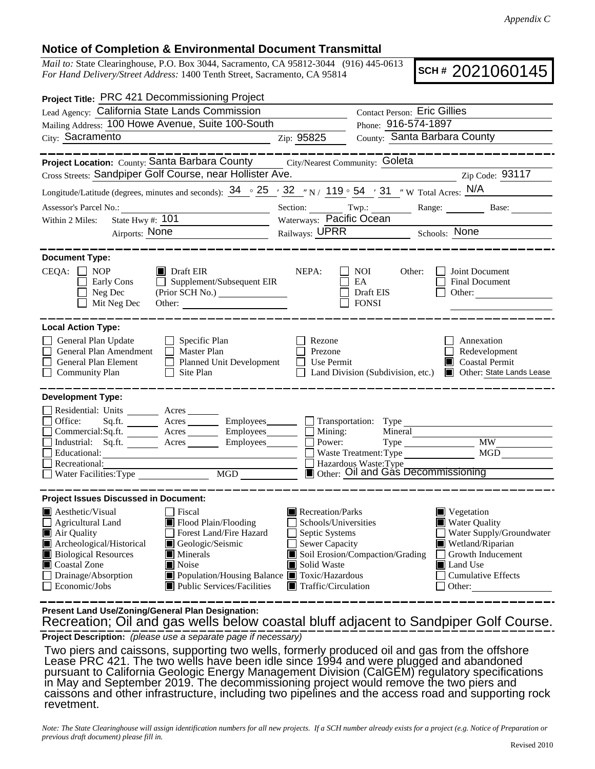## **Notice of Completion & Environmental Document Transmittal**

*Mail to:* State Clearinghouse, P.O. Box 3044, Sacramento, CA 95812-3044 (916) 445-0613 *For Hand Delivery/Street Address:* 1400 Tenth Street, Sacramento, CA 95814

**SCH #** 2021060145

| Project Title: PRC 421 Decommissioning Project                                                                                                                                                                                                                                                                                                                                                                        |                                                                                                                           |                                                                                                                                                                                                              |
|-----------------------------------------------------------------------------------------------------------------------------------------------------------------------------------------------------------------------------------------------------------------------------------------------------------------------------------------------------------------------------------------------------------------------|---------------------------------------------------------------------------------------------------------------------------|--------------------------------------------------------------------------------------------------------------------------------------------------------------------------------------------------------------|
| Lead Agency: California State Lands Commission                                                                                                                                                                                                                                                                                                                                                                        | <b>Contact Person: Eric Gillies</b>                                                                                       |                                                                                                                                                                                                              |
| Mailing Address: 100 Howe Avenue, Suite 100-South                                                                                                                                                                                                                                                                                                                                                                     |                                                                                                                           | Phone: 916-574-1897                                                                                                                                                                                          |
| City: Sacramento                                                                                                                                                                                                                                                                                                                                                                                                      | Zip: 95825                                                                                                                | County: Santa Barbara County                                                                                                                                                                                 |
| <b>Project Location:</b> County: Santa Barbara County City/Nearest Community: Goleta<br>Cross Streets: Sandpiper Golf Course, near Hollister Ave.<br>Longitude/Latitude (degrees, minutes and seconds): $34 \cdot 25$ / $32$ / N / 119 $\circ$ 54 / 31 / W Total Acres: N/A                                                                                                                                           |                                                                                                                           | Zip Code: 93117<br><u> 1980 - Johann Barbara, martin amerikan basar da</u>                                                                                                                                   |
| Assessor's Parcel No.:                                                                                                                                                                                                                                                                                                                                                                                                |                                                                                                                           | Section: Twp.: Range: Base:                                                                                                                                                                                  |
| Within 2 Miles:                                                                                                                                                                                                                                                                                                                                                                                                       | Waterways: Pacific Ocean<br>Railways: UPRR Schools: None                                                                  |                                                                                                                                                                                                              |
| Airports: None                                                                                                                                                                                                                                                                                                                                                                                                        |                                                                                                                           |                                                                                                                                                                                                              |
| <b>Document Type:</b><br>$CEQA: \Box$<br><b>NOP</b><br>$\blacksquare$ Draft EIR<br>$\Box$ Supplement/Subsequent EIR<br>Early Cons<br>Neg Dec<br>Mit Neg Dec<br>Other:                                                                                                                                                                                                                                                 | NEPA:                                                                                                                     | Joint Document<br><b>NOI</b><br>Other:<br>EA<br>Final Document<br>Draft EIS<br>Other: $\qquad \qquad$<br><b>FONSI</b>                                                                                        |
| <b>Local Action Type:</b>                                                                                                                                                                                                                                                                                                                                                                                             |                                                                                                                           |                                                                                                                                                                                                              |
| General Plan Update<br>$\Box$ Specific Plan<br>General Plan Amendment<br>$\Box$ Master Plan<br>General Plan Element<br>Planned Unit Development<br><b>Community Plan</b><br>$\Box$ Site Plan                                                                                                                                                                                                                          | Rezone<br>Prezone<br>Use Permit                                                                                           | Annexation<br>Redevelopment<br><b>Coastal Permit</b><br>Land Division (Subdivision, etc.) <b>I</b> Other: State Lands Lease                                                                                  |
| <b>Development Type:</b><br>Residential: Units ________ Acres _______<br>Sq.ft. _________ Acres __________ Employees ________ ___ Transportation: Type _____________________<br>Office:<br>$Commercial:Sq.fit.$ Acres $\_\_\_\_\$ Employees $\_\_\_\_\$ Mining:<br>Industrial: Sq.ft. _______ Acres ________ Employees________ $\Box$<br>Educational:<br>Recreational:<br>Necreational.<br>Water Facilities: Type MGD |                                                                                                                           | Mineral<br><b>MW</b><br>MGD<br>Waste Treatment: Type<br>Hazardous Waste: Type<br>Other: Oil and Gás Decommissioning                                                                                          |
| <b>Project Issues Discussed in Document:</b>                                                                                                                                                                                                                                                                                                                                                                          |                                                                                                                           |                                                                                                                                                                                                              |
| $\blacksquare$ Aesthetic/Visual<br>□ Fiscal<br>$\Box$ Agricultural Land<br>Flood Plain/Flooding<br>Forest Land/Fire Hazard<br>Air Quality<br>Geologic/Seismic<br>Archeological/Historical<br><b>Biological Resources</b><br><b>Minerals</b><br>Coastal Zone<br>Noise<br>Drainage/Absorption<br>■ Population/Housing Balance ■ Toxic/Hazardous<br>Economic/Jobs<br>Public Services/Facilities                          | Recreation/Parks<br>Schools/Universities<br>Septic Systems<br><b>Sewer Capacity</b><br>Solid Waste<br>Traffic/Circulation | $\blacksquare$ Vegetation<br><b>Water Quality</b><br>Water Supply/Groundwater<br>Wetland/Riparian<br>Soil Erosion/Compaction/Grading<br>Growth Inducement<br>Land Use<br><b>Cumulative Effects</b><br>Other: |

 Recreation; Oil and gas wells below coastal bluff adjacent to Sandpiper Golf Course. **Present Land Use/Zoning/General Plan Designation:**

**Project Description:** *(please use a separate page if necessary)*

 Two piers and caissons, supporting two wells, formerly produced oil and gas from the offshore Lease PRC 421. The two wells have been idle since 1994 and were plugged and abandoned pursuant to California Geologic Energy Management Division (CalGEM) regulatory specifications in May and September 2019. The decommissioning project would remove the two piers and caissons and other infrastructure, including two pipelines and the access road and supporting rock revetment.

*Note: The State Clearinghouse will assign identification numbers for all new projects. If a SCH number already exists for a project (e.g. Notice of Preparation or previous draft document) please fill in.*